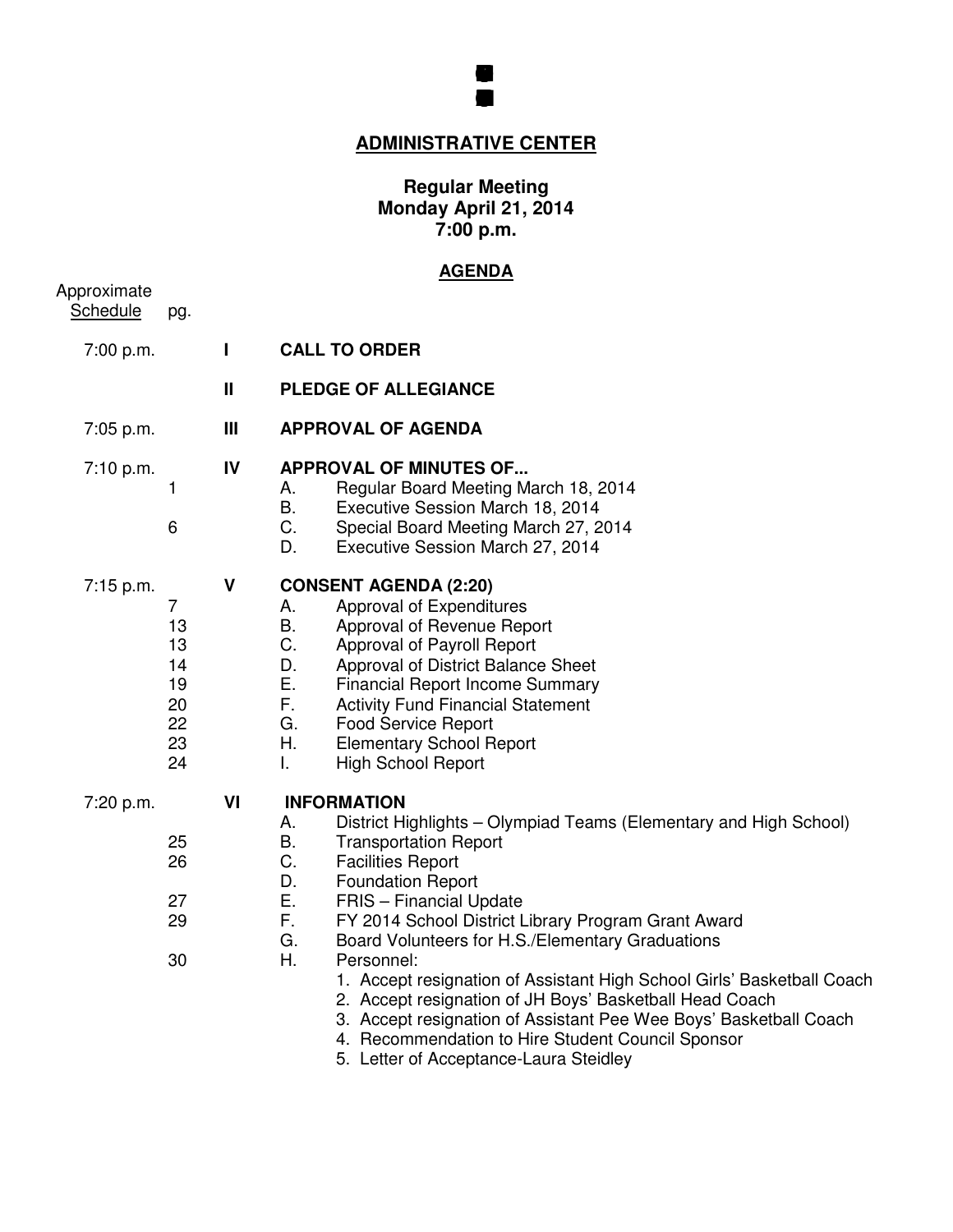

# **ADMINISTRATIVE CENTER**

### **Regular Meeting Monday April 21, 2014 7:00 p.m.**

## **AGENDA**

| Approximate<br><b>Schedule</b> | pg.                                               |                    |                                                                                                                                                                                                                                                                                                                                                                                                                                                                                                                                                                                                                                                                                              |
|--------------------------------|---------------------------------------------------|--------------------|----------------------------------------------------------------------------------------------------------------------------------------------------------------------------------------------------------------------------------------------------------------------------------------------------------------------------------------------------------------------------------------------------------------------------------------------------------------------------------------------------------------------------------------------------------------------------------------------------------------------------------------------------------------------------------------------|
| 7:00 p.m.                      |                                                   | L                  | <b>CALL TO ORDER</b>                                                                                                                                                                                                                                                                                                                                                                                                                                                                                                                                                                                                                                                                         |
|                                |                                                   | $\mathbf{I}$       | <b>PLEDGE OF ALLEGIANCE</b>                                                                                                                                                                                                                                                                                                                                                                                                                                                                                                                                                                                                                                                                  |
| 7:05 p.m.                      |                                                   | Ш                  | <b>APPROVAL OF AGENDA</b>                                                                                                                                                                                                                                                                                                                                                                                                                                                                                                                                                                                                                                                                    |
| 7:10 p.m.                      | 1<br>6                                            | IV                 | <b>APPROVAL OF MINUTES OF</b><br>Regular Board Meeting March 18, 2014<br>А.<br>В.<br>Executive Session March 18, 2014<br>$C_{\cdot}$<br>Special Board Meeting March 27, 2014<br>D.<br>Executive Session March 27, 2014                                                                                                                                                                                                                                                                                                                                                                                                                                                                       |
| 7:15 p.m.                      | 7<br>13<br>13<br>14<br>19<br>20<br>22<br>23<br>24 | $\pmb{\mathsf{V}}$ | <b>CONSENT AGENDA (2:20)</b><br>Approval of Expenditures<br>А.<br>Β.<br>Approval of Revenue Report<br>C.<br>Approval of Payroll Report<br>D.<br>Approval of District Balance Sheet<br>Ε.<br><b>Financial Report Income Summary</b><br>F.<br><b>Activity Fund Financial Statement</b><br>G.<br><b>Food Service Report</b><br>Η.<br><b>Elementary School Report</b><br><b>High School Report</b><br>L.                                                                                                                                                                                                                                                                                         |
| 7:20 p.m.                      | 25<br>26<br>27<br>29<br>30                        | VI                 | <b>INFORMATION</b><br>District Highlights – Olympiad Teams (Elementary and High School)<br>А.<br>В.<br><b>Transportation Report</b><br>C.<br><b>Facilities Report</b><br>D.<br><b>Foundation Report</b><br>Е.<br>FRIS - Financial Update<br>F.<br>FY 2014 School District Library Program Grant Award<br>G.<br>Board Volunteers for H.S./Elementary Graduations<br>Η.<br>Personnel:<br>1. Accept resignation of Assistant High School Girls' Basketball Coach<br>2. Accept resignation of JH Boys' Basketball Head Coach<br>3. Accept resignation of Assistant Pee Wee Boys' Basketball Coach<br>4. Recommendation to Hire Student Council Sponsor<br>5. Letter of Acceptance-Laura Steidley |